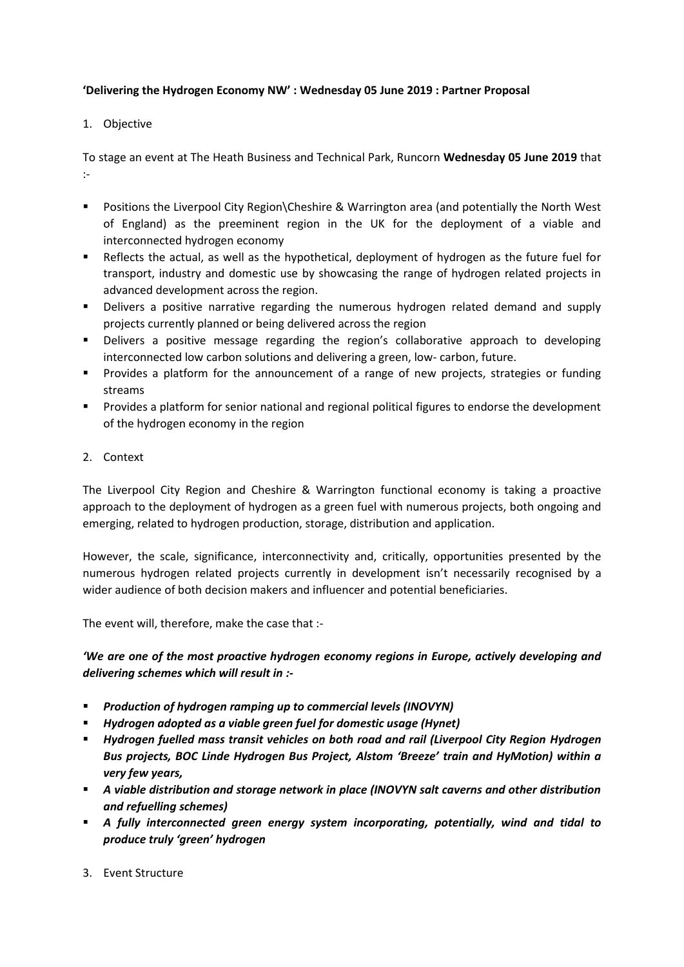### **'Delivering the Hydrogen Economy NW' : Wednesday 05 June 2019 : Partner Proposal**

### 1. Objective

To stage an event at The Heath Business and Technical Park, Runcorn **Wednesday 05 June 2019** that :-

- Positions the Liverpool City Region Cheshire & Warrington area (and potentially the North West of England) as the preeminent region in the UK for the deployment of a viable and interconnected hydrogen economy
- Reflects the actual, as well as the hypothetical, deployment of hydrogen as the future fuel for transport, industry and domestic use by showcasing the range of hydrogen related projects in advanced development across the region.
- Delivers a positive narrative regarding the numerous hydrogen related demand and supply projects currently planned or being delivered across the region
- Delivers a positive message regarding the region's collaborative approach to developing interconnected low carbon solutions and delivering a green, low- carbon, future.
- Provides a platform for the announcement of a range of new projects, strategies or funding streams
- Provides a platform for senior national and regional political figures to endorse the development of the hydrogen economy in the region
- 2. Context

The Liverpool City Region and Cheshire & Warrington functional economy is taking a proactive approach to the deployment of hydrogen as a green fuel with numerous projects, both ongoing and emerging, related to hydrogen production, storage, distribution and application.

However, the scale, significance, interconnectivity and, critically, opportunities presented by the numerous hydrogen related projects currently in development isn't necessarily recognised by a wider audience of both decision makers and influencer and potential beneficiaries.

The event will, therefore, make the case that :-

*'We are one of the most proactive hydrogen economy regions in Europe, actively developing and delivering schemes which will result in :-*

- *Production of hydrogen ramping up to commercial levels (INOVYN)*
- *Hydrogen adopted as a viable green fuel for domestic usage (Hynet)*
- *Hydrogen fuelled mass transit vehicles on both road and rail (Liverpool City Region Hydrogen Bus projects, BOC Linde Hydrogen Bus Project, Alstom 'Breeze' train and HyMotion) within a very few years,*
- **■** A viable distribution and storage network in place (INOVYN salt caverns and other distribution *and refuelling schemes)*
- *A fully interconnected green energy system incorporating, potentially, wind and tidal to produce truly 'green' hydrogen*
- 3. Event Structure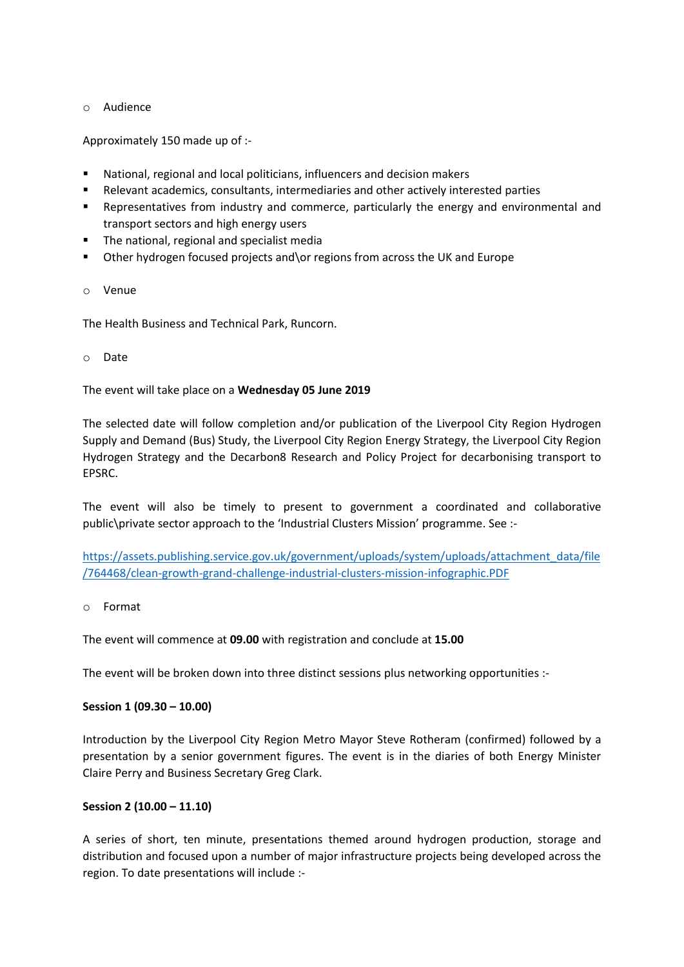#### o Audience

Approximately 150 made up of :-

- National, regional and local politicians, influencers and decision makers
- Relevant academics, consultants, intermediaries and other actively interested parties
- Representatives from industry and commerce, particularly the energy and environmental and transport sectors and high energy users
- The national, regional and specialist media
- Other hydrogen focused projects and\or regions from across the UK and Europe

#### o Venue

The Health Business and Technical Park, Runcorn.

o Date

The event will take place on a **Wednesday 05 June 2019**

The selected date will follow completion and/or publication of the Liverpool City Region Hydrogen Supply and Demand (Bus) Study, the Liverpool City Region Energy Strategy, the Liverpool City Region Hydrogen Strategy and the Decarbon8 Research and Policy Project for decarbonising transport to EPSRC.

The event will also be timely to present to government a coordinated and collaborative public\private sector approach to the 'Industrial Clusters Mission' programme. See :-

[https://assets.publishing.service.gov.uk/government/uploads/system/uploads/attachment\\_data/file](https://assets.publishing.service.gov.uk/government/uploads/system/uploads/attachment_data/file/764468/clean-growth-grand-challenge-industrial-clusters-mission-infographic.PDF) [/764468/clean-growth-grand-challenge-industrial-clusters-mission-infographic.PDF](https://assets.publishing.service.gov.uk/government/uploads/system/uploads/attachment_data/file/764468/clean-growth-grand-challenge-industrial-clusters-mission-infographic.PDF)

o Format

The event will commence at **09.00** with registration and conclude at **15.00**

The event will be broken down into three distinct sessions plus networking opportunities :-

#### **Session 1 (09.30 – 10.00)**

Introduction by the Liverpool City Region Metro Mayor Steve Rotheram (confirmed) followed by a presentation by a senior government figures. The event is in the diaries of both Energy Minister Claire Perry and Business Secretary Greg Clark.

#### **Session 2 (10.00 – 11.10)**

A series of short, ten minute, presentations themed around hydrogen production, storage and distribution and focused upon a number of major infrastructure projects being developed across the region. To date presentations will include :-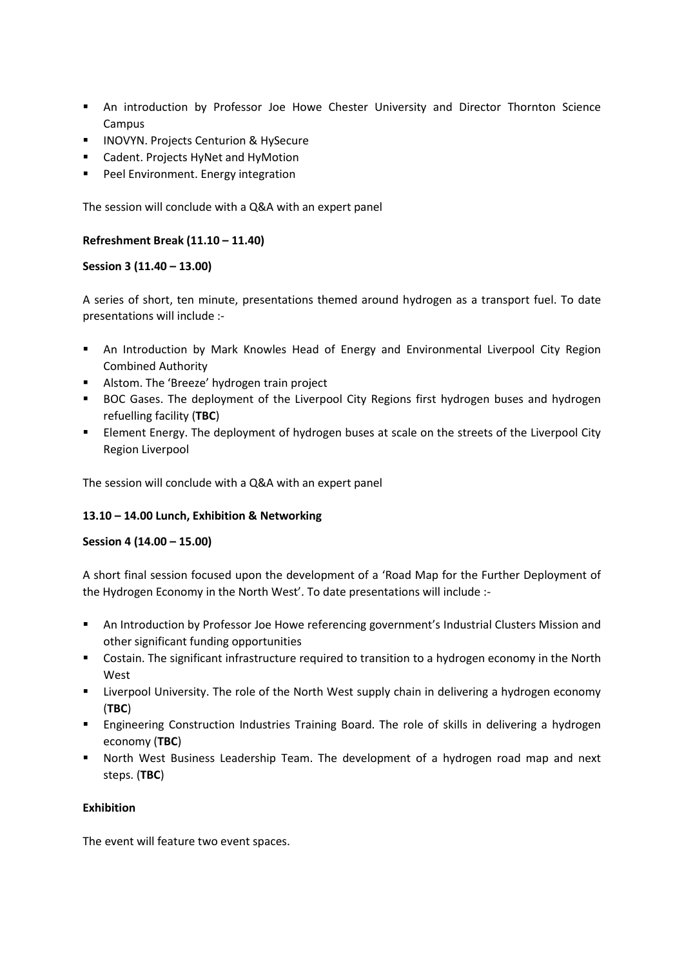- **■** An introduction by Professor Joe Howe Chester University and Director Thornton Science Campus
- INOVYN. Projects Centurion & HySecure
- Cadent. Projects HyNet and HyMotion
- Peel Environment. Energy integration

The session will conclude with a Q&A with an expert panel

# **Refreshment Break (11.10 – 11.40)**

#### **Session 3 (11.40 – 13.00)**

A series of short, ten minute, presentations themed around hydrogen as a transport fuel. To date presentations will include :-

- **■** An Introduction by Mark Knowles Head of Energy and Environmental Liverpool City Region Combined Authority
- Alstom. The 'Breeze' hydrogen train project
- BOC Gases. The deployment of the Liverpool City Regions first hydrogen buses and hydrogen refuelling facility (**TBC**)
- Element Energy. The deployment of hydrogen buses at scale on the streets of the Liverpool City Region Liverpool

The session will conclude with a Q&A with an expert panel

# **13.10 – 14.00 Lunch, Exhibition & Networking**

# **Session 4 (14.00 – 15.00)**

A short final session focused upon the development of a 'Road Map for the Further Deployment of the Hydrogen Economy in the North West'. To date presentations will include :-

- **■** An Introduction by Professor Joe Howe referencing government's Industrial Clusters Mission and other significant funding opportunities
- Costain. The significant infrastructure required to transition to a hydrogen economy in the North West
- **EXECT LIVE LIVERTH UNIVERSITY.** The role of the North West supply chain in delivering a hydrogen economy (**TBC**)
- **Engineering Construction Industries Training Board. The role of skills in delivering a hydrogen** economy (**TBC**)
- **■** North West Business Leadership Team. The development of a hydrogen road map and next steps. (**TBC**)

# **Exhibition**

The event will feature two event spaces.